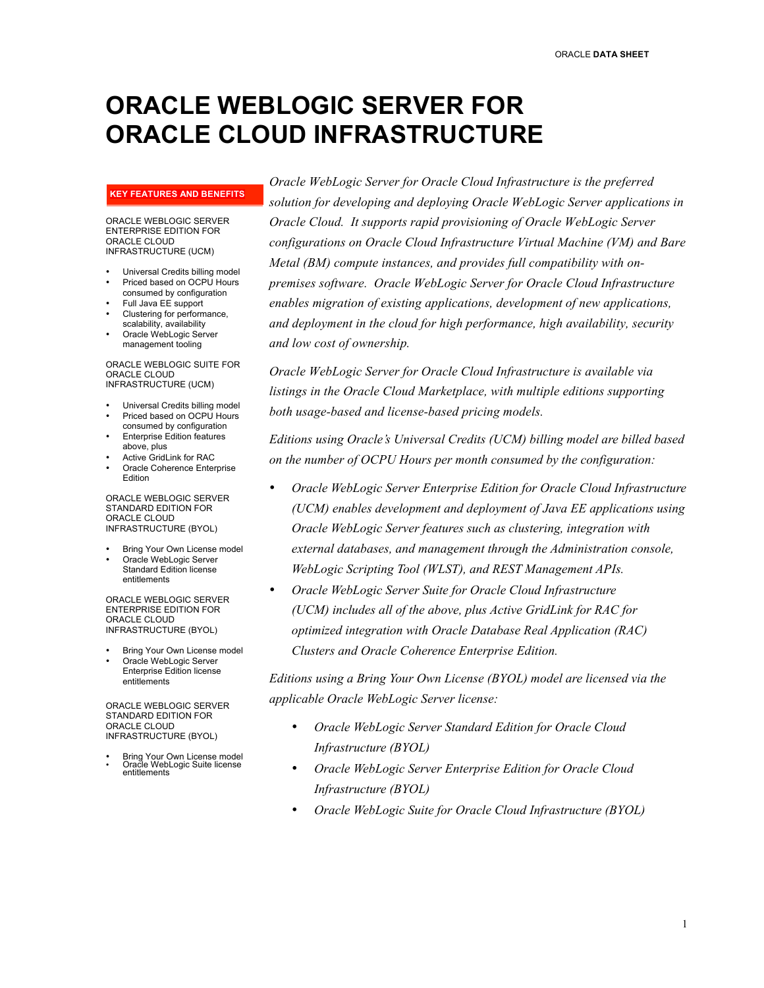# **ORACLE WEBLOGIC SERVER FOR ORACLE CLOUD INFRASTRUCTURE**

#### **KEY FEATURES AND BENEFITS**

#### ORACLE WEBLOGIC SERVER ENTERPRISE EDITION FOR ORACLE CLOUD INFRASTRUCTURE (UCM)

- Universal Credits billing model
- Priced based on OCPU Hours consumed by configuration
- Full Java EE support Clustering for performance,
- scalability, availability • Oracle WebLogic Server
- management tooling

#### ORACLE WEBLOGIC SUITE FOR ORACLE CLOUD INFRASTRUCTURE (UCM)

- Universal Credits billing model
- Priced based on OCPU Hours consumed by configuration
- Enterprise Edition features above, plus
- Active GridLink for RAC
- Oracle Coherence Enterprise Edition

ORACLE WEBLOGIC SERVER STANDARD EDITION FOR ORACLE CLOUD INFRASTRUCTURE (BYOL)

- Bring Your Own License model • Oracle WebLogic Server
- Standard Edition license entitlements

ORACLE WEBLOGIC SERVER ENTERPRISE EDITION FOR ORACLE CLOUD INFRASTRUCTURE (BYOL)

- Bring Your Own License model
- Oracle WebLogic Server Enterprise Edition license entitlements

ORACLE WEBLOGIC SERVER STANDARD EDITION FOR ORACLE CLOUD INFRASTRUCTURE (BYOL)

• Bring Your Own License model • Oracle WebLogic Suite license entitlements

*Oracle WebLogic Server for Oracle Cloud Infrastructure is the preferred solution for developing and deploying Oracle WebLogic Server applications in Oracle Cloud. It supports rapid provisioning of Oracle WebLogic Server configurations on Oracle Cloud Infrastructure Virtual Machine (VM) and Bare Metal (BM) compute instances, and provides full compatibility with onpremises software. Oracle WebLogic Server for Oracle Cloud Infrastructure enables migration of existing applications, development of new applications, and deployment in the cloud for high performance, high availability, security and low cost of ownership.* 

*Oracle WebLogic Server for Oracle Cloud Infrastructure is available via listings in the Oracle Cloud Marketplace, with multiple editions supporting both usage-based and license-based pricing models.* 

*Editions using Oracle's Universal Credits (UCM) billing model are billed based on the number of OCPU Hours per month consumed by the configuration:*

- *Oracle WebLogic Server Enterprise Edition for Oracle Cloud Infrastructure (UCM) enables development and deployment of Java EE applications using Oracle WebLogic Server features such as clustering, integration with external databases, and management through the Administration console, WebLogic Scripting Tool (WLST), and REST Management APIs.*
- *Oracle WebLogic Server Suite for Oracle Cloud Infrastructure (UCM) includes all of the above, plus Active GridLink for RAC for optimized integration with Oracle Database Real Application (RAC) Clusters and Oracle Coherence Enterprise Edition.*

*Editions using a Bring Your Own License (BYOL) model are licensed via the applicable Oracle WebLogic Server license:*

- *Oracle WebLogic Server Standard Edition for Oracle Cloud Infrastructure (BYOL)*
- *Oracle WebLogic Server Enterprise Edition for Oracle Cloud Infrastructure (BYOL)*
- *Oracle WebLogic Suite for Oracle Cloud Infrastructure (BYOL)*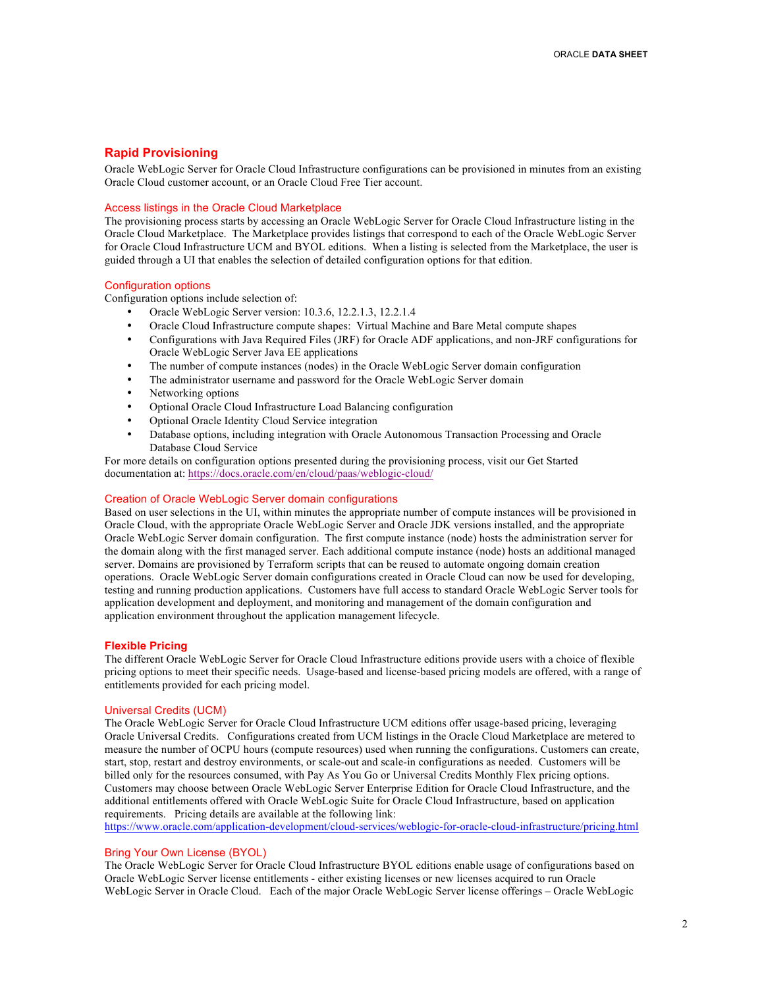# **Rapid Provisioning**

Oracle WebLogic Server for Oracle Cloud Infrastructure configurations can be provisioned in minutes from an existing Oracle Cloud customer account, or an Oracle Cloud Free Tier account.

## Access listings in the Oracle Cloud Marketplace

The provisioning process starts by accessing an Oracle WebLogic Server for Oracle Cloud Infrastructure listing in the Oracle Cloud Marketplace. The Marketplace provides listings that correspond to each of the Oracle WebLogic Server for Oracle Cloud Infrastructure UCM and BYOL editions. When a listing is selected from the Marketplace, the user is guided through a UI that enables the selection of detailed configuration options for that edition.

#### Configuration options

Configuration options include selection of:

- Oracle WebLogic Server version: 10.3.6, 12.2.1.3, 12.2.1.4
- Oracle Cloud Infrastructure compute shapes: Virtual Machine and Bare Metal compute shapes
- Configurations with Java Required Files (JRF) for Oracle ADF applications, and non-JRF configurations for Oracle WebLogic Server Java EE applications
- The number of compute instances (nodes) in the Oracle WebLogic Server domain configuration
- The administrator username and password for the Oracle WebLogic Server domain
- Networking options
- Optional Oracle Cloud Infrastructure Load Balancing configuration
- Optional Oracle Identity Cloud Service integration
- Database options, including integration with Oracle Autonomous Transaction Processing and Oracle Database Cloud Service

For more details on configuration options presented during the provisioning process, visit our Get Started documentation at: https://docs.oracle.com/en/cloud/paas/weblogic-cloud/

### Creation of Oracle WebLogic Server domain configurations

Based on user selections in the UI, within minutes the appropriate number of compute instances will be provisioned in Oracle Cloud, with the appropriate Oracle WebLogic Server and Oracle JDK versions installed, and the appropriate Oracle WebLogic Server domain configuration. The first compute instance (node) hosts the administration server for the domain along with the first managed server. Each additional compute instance (node) hosts an additional managed server. Domains are provisioned by Terraform scripts that can be reused to automate ongoing domain creation operations. Oracle WebLogic Server domain configurations created in Oracle Cloud can now be used for developing, testing and running production applications. Customers have full access to standard Oracle WebLogic Server tools for application development and deployment, and monitoring and management of the domain configuration and application environment throughout the application management lifecycle.

#### **Flexible Pricing**

The different Oracle WebLogic Server for Oracle Cloud Infrastructure editions provide users with a choice of flexible pricing options to meet their specific needs. Usage-based and license-based pricing models are offered, with a range of entitlements provided for each pricing model.

#### Universal Credits (UCM)

The Oracle WebLogic Server for Oracle Cloud Infrastructure UCM editions offer usage-based pricing, leveraging Oracle Universal Credits. Configurations created from UCM listings in the Oracle Cloud Marketplace are metered to measure the number of OCPU hours (compute resources) used when running the configurations. Customers can create, start, stop, restart and destroy environments, or scale-out and scale-in configurations as needed. Customers will be billed only for the resources consumed, with Pay As You Go or Universal Credits Monthly Flex pricing options. Customers may choose between Oracle WebLogic Server Enterprise Edition for Oracle Cloud Infrastructure, and the additional entitlements offered with Oracle WebLogic Suite for Oracle Cloud Infrastructure, based on application requirements. Pricing details are available at the following link:

https://www.oracle.com/application-development/cloud-services/weblogic-for-oracle-cloud-infrastructure/pricing.html

### Bring Your Own License (BYOL)

The Oracle WebLogic Server for Oracle Cloud Infrastructure BYOL editions enable usage of configurations based on Oracle WebLogic Server license entitlements - either existing licenses or new licenses acquired to run Oracle WebLogic Server in Oracle Cloud. Each of the major Oracle WebLogic Server license offerings – Oracle WebLogic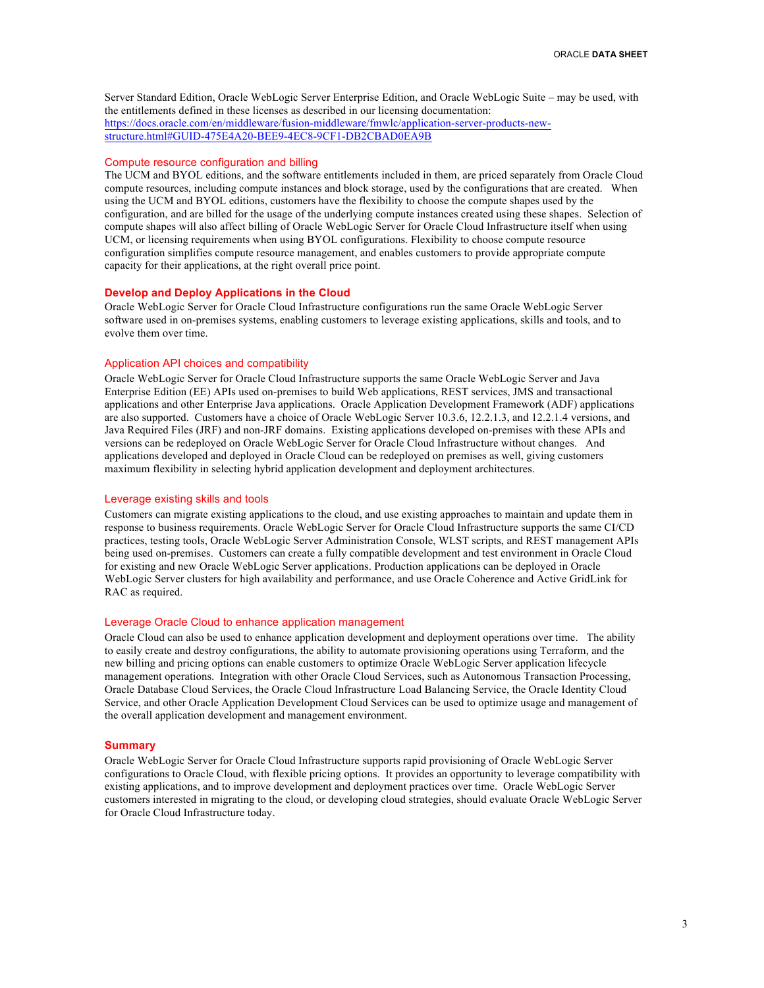Server Standard Edition, Oracle WebLogic Server Enterprise Edition, and Oracle WebLogic Suite – may be used, with the entitlements defined in these licenses as described in our licensing documentation: https://docs.oracle.com/en/middleware/fusion-middleware/fmwlc/application-server-products-newstructure.html#GUID-475E4A20-BEE9-4EC8-9CF1-DB2CBAD0EA9B

#### Compute resource configuration and billing

The UCM and BYOL editions, and the software entitlements included in them, are priced separately from Oracle Cloud compute resources, including compute instances and block storage, used by the configurations that are created. When using the UCM and BYOL editions, customers have the flexibility to choose the compute shapes used by the configuration, and are billed for the usage of the underlying compute instances created using these shapes. Selection of compute shapes will also affect billing of Oracle WebLogic Server for Oracle Cloud Infrastructure itself when using UCM, or licensing requirements when using BYOL configurations. Flexibility to choose compute resource configuration simplifies compute resource management, and enables customers to provide appropriate compute capacity for their applications, at the right overall price point.

## **Develop and Deploy Applications in the Cloud**

Oracle WebLogic Server for Oracle Cloud Infrastructure configurations run the same Oracle WebLogic Server software used in on-premises systems, enabling customers to leverage existing applications, skills and tools, and to evolve them over time.

# Application API choices and compatibility

Oracle WebLogic Server for Oracle Cloud Infrastructure supports the same Oracle WebLogic Server and Java Enterprise Edition (EE) APIs used on-premises to build Web applications, REST services, JMS and transactional applications and other Enterprise Java applications. Oracle Application Development Framework (ADF) applications are also supported. Customers have a choice of Oracle WebLogic Server 10.3.6, 12.2.1.3, and 12.2.1.4 versions, and Java Required Files (JRF) and non-JRF domains. Existing applications developed on-premises with these APIs and versions can be redeployed on Oracle WebLogic Server for Oracle Cloud Infrastructure without changes. And applications developed and deployed in Oracle Cloud can be redeployed on premises as well, giving customers maximum flexibility in selecting hybrid application development and deployment architectures.

### Leverage existing skills and tools

Customers can migrate existing applications to the cloud, and use existing approaches to maintain and update them in response to business requirements. Oracle WebLogic Server for Oracle Cloud Infrastructure supports the same CI/CD practices, testing tools, Oracle WebLogic Server Administration Console, WLST scripts, and REST management APIs being used on-premises. Customers can create a fully compatible development and test environment in Oracle Cloud for existing and new Oracle WebLogic Server applications. Production applications can be deployed in Oracle WebLogic Server clusters for high availability and performance, and use Oracle Coherence and Active GridLink for RAC as required.

#### Leverage Oracle Cloud to enhance application management

Oracle Cloud can also be used to enhance application development and deployment operations over time. The ability to easily create and destroy configurations, the ability to automate provisioning operations using Terraform, and the new billing and pricing options can enable customers to optimize Oracle WebLogic Server application lifecycle management operations. Integration with other Oracle Cloud Services, such as Autonomous Transaction Processing, Oracle Database Cloud Services, the Oracle Cloud Infrastructure Load Balancing Service, the Oracle Identity Cloud Service, and other Oracle Application Development Cloud Services can be used to optimize usage and management of the overall application development and management environment.

#### **Summary**

Oracle WebLogic Server for Oracle Cloud Infrastructure supports rapid provisioning of Oracle WebLogic Server configurations to Oracle Cloud, with flexible pricing options. It provides an opportunity to leverage compatibility with existing applications, and to improve development and deployment practices over time. Oracle WebLogic Server customers interested in migrating to the cloud, or developing cloud strategies, should evaluate Oracle WebLogic Server for Oracle Cloud Infrastructure today.